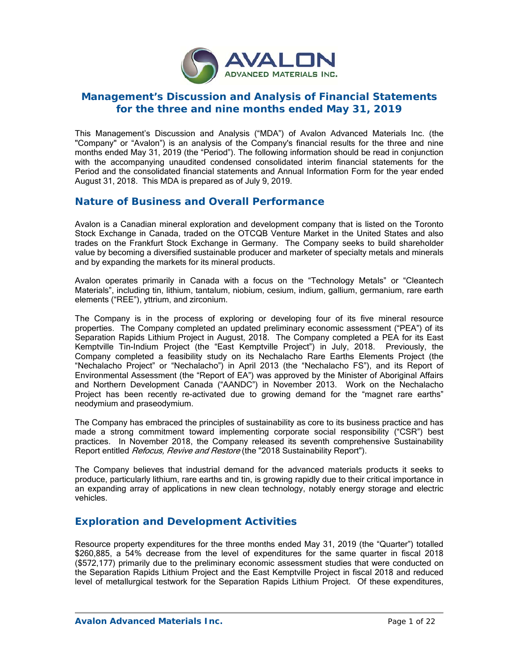

# **Management's Discussion and Analysis of Financial Statements for the three and nine months ended May 31, 2019**

This Management's Discussion and Analysis ("MDA") of Avalon Advanced Materials Inc. (the "Company" or "Avalon") is an analysis of the Company's financial results for the three and nine months ended May 31, 2019 (the "Period"). The following information should be read in conjunction with the accompanying unaudited condensed consolidated interim financial statements for the Period and the consolidated financial statements and Annual Information Form for the year ended August 31, 2018. This MDA is prepared as of July 9, 2019.

## **Nature of Business and Overall Performance**

Avalon is a Canadian mineral exploration and development company that is listed on the Toronto Stock Exchange in Canada, traded on the OTCQB Venture Market in the United States and also trades on the Frankfurt Stock Exchange in Germany. The Company seeks to build shareholder value by becoming a diversified sustainable producer and marketer of specialty metals and minerals and by expanding the markets for its mineral products.

Avalon operates primarily in Canada with a focus on the "Technology Metals" or "Cleantech Materials", including tin, lithium, tantalum, niobium, cesium, indium, gallium, germanium, rare earth elements ("REE"), yttrium, and zirconium.

The Company is in the process of exploring or developing four of its five mineral resource properties. The Company completed an updated preliminary economic assessment ("PEA") of its Separation Rapids Lithium Project in August, 2018. The Company completed a PEA for its East Kemptville Tin-Indium Project (the "East Kemptville Project") in July, 2018. Previously, the Company completed a feasibility study on its Nechalacho Rare Earths Elements Project (the "Nechalacho Project" or "Nechalacho") in April 2013 (the "Nechalacho FS"), and its Report of Environmental Assessment (the "Report of EA") was approved by the Minister of Aboriginal Affairs and Northern Development Canada ("AANDC") in November 2013. Work on the Nechalacho Project has been recently re-activated due to growing demand for the "magnet rare earths" neodymium and praseodymium.

The Company has embraced the principles of sustainability as core to its business practice and has made a strong commitment toward implementing corporate social responsibility ("CSR") best practices. In November 2018, the Company released its seventh comprehensive Sustainability Report entitled *Refocus, Revive and Restore* (the "2018 Sustainability Report").

The Company believes that industrial demand for the advanced materials products it seeks to produce, particularly lithium, rare earths and tin, is growing rapidly due to their critical importance in an expanding array of applications in new clean technology, notably energy storage and electric vehicles.

## **Exploration and Development Activities**

Resource property expenditures for the three months ended May 31, 2019 (the "Quarter") totalled \$260,885, a 54% decrease from the level of expenditures for the same quarter in fiscal 2018 (\$572,177) primarily due to the preliminary economic assessment studies that were conducted on the Separation Rapids Lithium Project and the East Kemptville Project in fiscal 2018 and reduced level of metallurgical testwork for the Separation Rapids Lithium Project. Of these expenditures,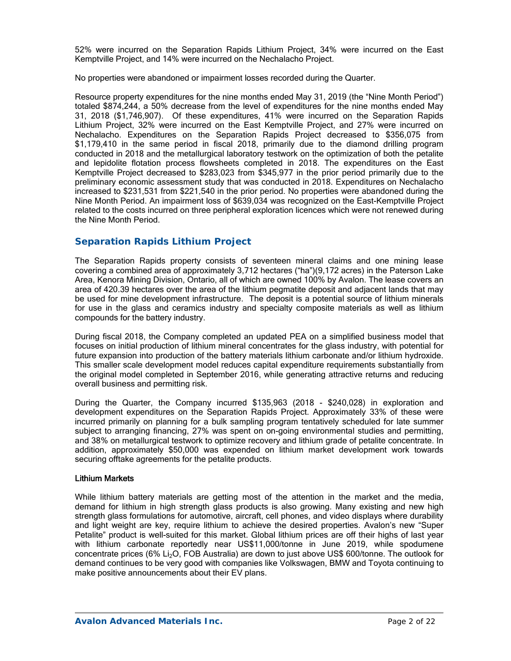52% were incurred on the Separation Rapids Lithium Project, 34% were incurred on the East Kemptville Project, and 14% were incurred on the Nechalacho Project.

No properties were abandoned or impairment losses recorded during the Quarter.

Resource property expenditures for the nine months ended May 31, 2019 (the "Nine Month Period") totaled \$874,244, a 50% decrease from the level of expenditures for the nine months ended May 31, 2018 (\$1,746,907). Of these expenditures, 41% were incurred on the Separation Rapids Lithium Project, 32% were incurred on the East Kemptville Project, and 27% were incurred on Nechalacho. Expenditures on the Separation Rapids Project decreased to \$356,075 from \$1,179,410 in the same period in fiscal 2018, primarily due to the diamond drilling program conducted in 2018 and the metallurgical laboratory testwork on the optimization of both the petalite and lepidolite flotation process flowsheets completed in 2018. The expenditures on the East Kemptville Project decreased to \$283,023 from \$345,977 in the prior period primarily due to the preliminary economic assessment study that was conducted in 2018. Expenditures on Nechalacho increased to \$231,531 from \$221,540 in the prior period. No properties were abandoned during the Nine Month Period. An impairment loss of \$639,034 was recognized on the East-Kemptville Project related to the costs incurred on three peripheral exploration licences which were not renewed during the Nine Month Period.

### *Separation Rapids Lithium Project*

The Separation Rapids property consists of seventeen mineral claims and one mining lease covering a combined area of approximately 3,712 hectares ("ha")(9,172 acres) in the Paterson Lake Area, Kenora Mining Division, Ontario, all of which are owned 100% by Avalon. The lease covers an area of 420.39 hectares over the area of the lithium pegmatite deposit and adjacent lands that may be used for mine development infrastructure. The deposit is a potential source of lithium minerals for use in the glass and ceramics industry and specialty composite materials as well as lithium compounds for the battery industry.

During fiscal 2018, the Company completed an updated PEA on a simplified business model that focuses on initial production of lithium mineral concentrates for the glass industry, with potential for future expansion into production of the battery materials lithium carbonate and/or lithium hydroxide. This smaller scale development model reduces capital expenditure requirements substantially from the original model completed in September 2016, while generating attractive returns and reducing overall business and permitting risk.

During the Quarter, the Company incurred \$135,963 (2018 - \$240,028) in exploration and development expenditures on the Separation Rapids Project. Approximately 33% of these were incurred primarily on planning for a bulk sampling program tentatively scheduled for late summer subject to arranging financing, 27% was spent on on-going environmental studies and permitting, and 38% on metallurgical testwork to optimize recovery and lithium grade of petalite concentrate. In addition, approximately \$50,000 was expended on lithium market development work towards securing offtake agreements for the petalite products.

#### Lithium Markets

While lithium battery materials are getting most of the attention in the market and the media, demand for lithium in high strength glass products is also growing. Many existing and new high strength glass formulations for automotive, aircraft, cell phones, and video displays where durability and light weight are key, require lithium to achieve the desired properties. Avalon's new "Super Petalite" product is well-suited for this market. Global lithium prices are off their highs of last year with lithium carbonate reportedly near US\$11,000/tonne in June 2019, while spodumene concentrate prices (6% Li<sub>2</sub>O, FOB Australia) are down to just above US\$ 600/tonne. The outlook for demand continues to be very good with companies like Volkswagen, BMW and Toyota continuing to make positive announcements about their EV plans.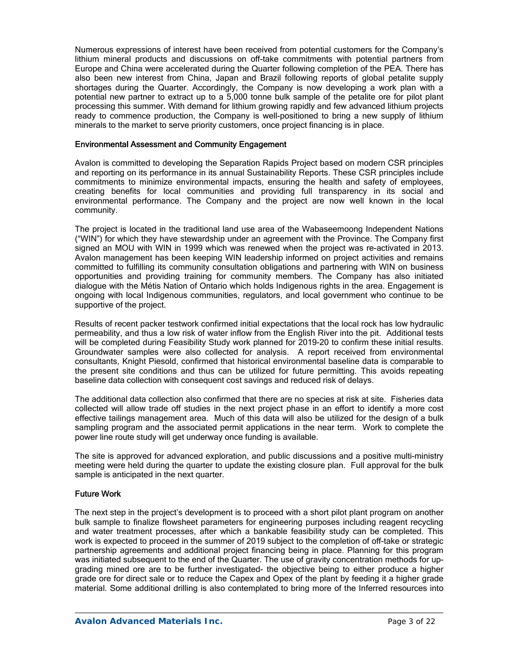Numerous expressions of interest have been received from potential customers for the Company's lithium mineral products and discussions on off-take commitments with potential partners from Europe and China were accelerated during the Quarter following completion of the PEA. There has also been new interest from China, Japan and Brazil following reports of global petalite supply shortages during the Quarter. Accordingly, the Company is now developing a work plan with a potential new partner to extract up to a 5,000 tonne bulk sample of the petalite ore for pilot plant processing this summer. With demand for lithium growing rapidly and few advanced lithium projects ready to commence production, the Company is well-positioned to bring a new supply of lithium minerals to the market to serve priority customers, once project financing is in place.

#### Environmental Assessment and Community Engagement

Avalon is committed to developing the Separation Rapids Project based on modern CSR principles and reporting on its performance in its annual Sustainability Reports. These CSR principles include commitments to minimize environmental impacts, ensuring the health and safety of employees, creating benefits for local communities and providing full transparency in its social and environmental performance. The Company and the project are now well known in the local community.

The project is located in the traditional land use area of the Wabaseemoong Independent Nations ("WIN") for which they have stewardship under an agreement with the Province. The Company first signed an MOU with WIN in 1999 which was renewed when the project was re-activated in 2013. Avalon management has been keeping WIN leadership informed on project activities and remains committed to fulfilling its community consultation obligations and partnering with WIN on business opportunities and providing training for community members. The Company has also initiated dialogue with the Métis Nation of Ontario which holds Indigenous rights in the area. Engagement is ongoing with local Indigenous communities, regulators, and local government who continue to be supportive of the project.

Results of recent packer testwork confirmed initial expectations that the local rock has low hydraulic permeability, and thus a low risk of water inflow from the English River into the pit. Additional tests will be completed during Feasibility Study work planned for 2019-20 to confirm these initial results. Groundwater samples were also collected for analysis. A report received from environmental consultants, Knight Piesold, confirmed that historical environmental baseline data is comparable to the present site conditions and thus can be utilized for future permitting. This avoids repeating baseline data collection with consequent cost savings and reduced risk of delays.

The additional data collection also confirmed that there are no species at risk at site. Fisheries data collected will allow trade off studies in the next project phase in an effort to identify a more cost effective tailings management area. Much of this data will also be utilized for the design of a bulk sampling program and the associated permit applications in the near term. Work to complete the power line route study will get underway once funding is available.

The site is approved for advanced exploration, and public discussions and a positive multi-ministry meeting were held during the quarter to update the existing closure plan. Full approval for the bulk sample is anticipated in the next quarter.

### Future Work

The next step in the project's development is to proceed with a short pilot plant program on another bulk sample to finalize flowsheet parameters for engineering purposes including reagent recycling and water treatment processes, after which a bankable feasibility study can be completed. This work is expected to proceed in the summer of 2019 subject to the completion of off-take or strategic partnership agreements and additional project financing being in place. Planning for this program was initiated subsequent to the end of the Quarter. The use of gravity concentration methods for upgrading mined ore are to be further investigated- the objective being to either produce a higher grade ore for direct sale or to reduce the Capex and Opex of the plant by feeding it a higher grade material. Some additional drilling is also contemplated to bring more of the Inferred resources into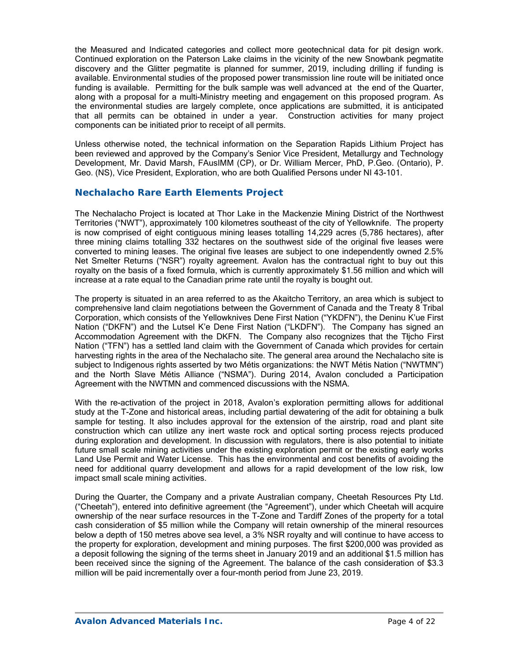the Measured and Indicated categories and collect more geotechnical data for pit design work. Continued exploration on the Paterson Lake claims in the vicinity of the new Snowbank pegmatite discovery and the Glitter pegmatite is planned for summer, 2019, including drilling if funding is available. Environmental studies of the proposed power transmission line route will be initiated once funding is available. Permitting for the bulk sample was well advanced at the end of the Quarter, along with a proposal for a multi-Ministry meeting and engagement on this proposed program. As the environmental studies are largely complete, once applications are submitted, it is anticipated that all permits can be obtained in under a year. Construction activities for many project components can be initiated prior to receipt of all permits.

Unless otherwise noted, the technical information on the Separation Rapids Lithium Project has been reviewed and approved by the Company's Senior Vice President, Metallurgy and Technology Development, Mr. David Marsh, FAusIMM (CP), or Dr. William Mercer, PhD, P.Geo. (Ontario), P. Geo. (NS), Vice President, Exploration, who are both Qualified Persons under NI 43-101.

### **Nechalacho Rare Earth Elements Project**

The Nechalacho Project is located at Thor Lake in the Mackenzie Mining District of the Northwest Territories ("NWT"), approximately 100 kilometres southeast of the city of Yellowknife. The property is now comprised of eight contiguous mining leases totalling 14,229 acres (5,786 hectares), after three mining claims totalling 332 hectares on the southwest side of the original five leases were converted to mining leases. The original five leases are subject to one independently owned 2.5% Net Smelter Returns ("NSR") royalty agreement. Avalon has the contractual right to buy out this royalty on the basis of a fixed formula, which is currently approximately \$1.56 million and which will increase at a rate equal to the Canadian prime rate until the royalty is bought out.

The property is situated in an area referred to as the Akaitcho Territory, an area which is subject to comprehensive land claim negotiations between the Government of Canada and the Treaty 8 Tribal Corporation, which consists of the Yellowknives Dene First Nation ("YKDFN"), the Deninu K'ue First Nation ("DKFN") and the Lutsel K'e Dene First Nation ("LKDFN"). The Company has signed an Accommodation Agreement with the DKFN. The Company also recognizes that the Tłįcho First Nation ("TFN") has a settled land claim with the Government of Canada which provides for certain harvesting rights in the area of the Nechalacho site. The general area around the Nechalacho site is subject to Indigenous rights asserted by two Métis organizations: the NWT Métis Nation ("NWTMN") and the North Slave Métis Alliance ("NSMA"). During 2014, Avalon concluded a Participation Agreement with the NWTMN and commenced discussions with the NSMA.

With the re-activation of the project in 2018, Avalon's exploration permitting allows for additional study at the T-Zone and historical areas, including partial dewatering of the adit for obtaining a bulk sample for testing. It also includes approval for the extension of the airstrip, road and plant site construction which can utilize any inert waste rock and optical sorting process rejects produced during exploration and development. In discussion with regulators, there is also potential to initiate future small scale mining activities under the existing exploration permit or the existing early works Land Use Permit and Water License. This has the environmental and cost benefits of avoiding the need for additional quarry development and allows for a rapid development of the low risk, low impact small scale mining activities.

During the Quarter, the Company and a private Australian company, Cheetah Resources Pty Ltd. ("Cheetah"), entered into definitive agreement (the "Agreement"), under which Cheetah will acquire ownership of the near surface resources in the T-Zone and Tardiff Zones of the property for a total cash consideration of \$5 million while the Company will retain ownership of the mineral resources below a depth of 150 metres above sea level, a 3% NSR royalty and will continue to have access to the property for exploration, development and mining purposes. The first \$200,000 was provided as a deposit following the signing of the terms sheet in January 2019 and an additional \$1.5 million has been received since the signing of the Agreement. The balance of the cash consideration of \$3.3 million will be paid incrementally over a four-month period from June 23, 2019.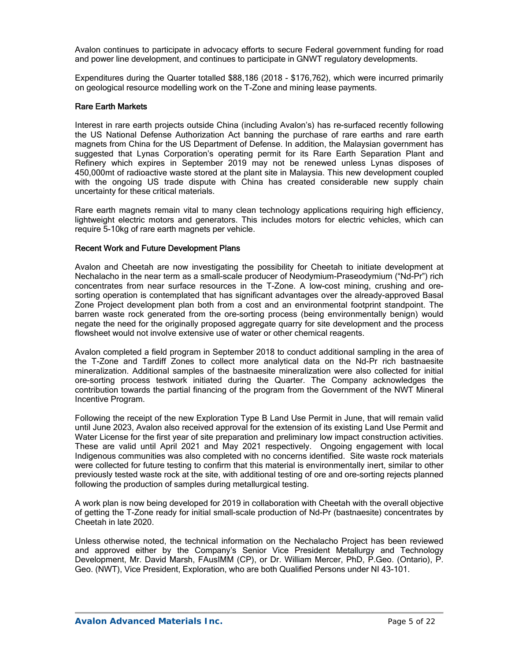Avalon continues to participate in advocacy efforts to secure Federal government funding for road and power line development, and continues to participate in GNWT regulatory developments.

Expenditures during the Quarter totalled \$88,186 (2018 - \$176,762), which were incurred primarily on geological resource modelling work on the T-Zone and mining lease payments.

### Rare Earth Markets

Interest in rare earth projects outside China (including Avalon's) has re-surfaced recently following the US National Defense Authorization Act banning the purchase of rare earths and rare earth magnets from China for the US Department of Defense. In addition, the Malaysian government has suggested that Lynas Corporation's operating permit for its Rare Earth Separation Plant and Refinery which expires in September 2019 may not be renewed unless Lynas disposes of 450,000mt of radioactive waste stored at the plant site in Malaysia. This new development coupled with the ongoing US trade dispute with China has created considerable new supply chain uncertainty for these critical materials.

Rare earth magnets remain vital to many clean technology applications requiring high efficiency, lightweight electric motors and generators. This includes motors for electric vehicles, which can require 5-10kg of rare earth magnets per vehicle.

### Recent Work and Future Development Plans

Avalon and Cheetah are now investigating the possibility for Cheetah to initiate development at Nechalacho in the near term as a small-scale producer of Neodymium-Praseodymium ("Nd-Pr") rich concentrates from near surface resources in the T-Zone. A low-cost mining, crushing and oresorting operation is contemplated that has significant advantages over the already-approved Basal Zone Project development plan both from a cost and an environmental footprint standpoint. The barren waste rock generated from the ore-sorting process (being environmentally benign) would negate the need for the originally proposed aggregate quarry for site development and the process flowsheet would not involve extensive use of water or other chemical reagents.

Avalon completed a field program in September 2018 to conduct additional sampling in the area of the T-Zone and Tardiff Zones to collect more analytical data on the Nd-Pr rich bastnaesite mineralization. Additional samples of the bastnaesite mineralization were also collected for initial ore-sorting process testwork initiated during the Quarter. The Company acknowledges the contribution towards the partial financing of the program from the Government of the NWT Mineral Incentive Program.

Following the receipt of the new Exploration Type B Land Use Permit in June, that will remain valid until June 2023, Avalon also received approval for the extension of its existing Land Use Permit and Water License for the first year of site preparation and preliminary low impact construction activities. These are valid until April 2021 and May 2021 respectively. Ongoing engagement with local Indigenous communities was also completed with no concerns identified. Site waste rock materials were collected for future testing to confirm that this material is environmentally inert, similar to other previously tested waste rock at the site, with additional testing of ore and ore-sorting rejects planned following the production of samples during metallurgical testing.

A work plan is now being developed for 2019 in collaboration with Cheetah with the overall objective of getting the T-Zone ready for initial small-scale production of Nd-Pr (bastnaesite) concentrates by Cheetah in late 2020.

Unless otherwise noted, the technical information on the Nechalacho Project has been reviewed and approved either by the Company's Senior Vice President Metallurgy and Technology Development, Mr. David Marsh, FAusIMM (CP), or Dr. William Mercer, PhD, P.Geo. (Ontario), P. Geo. (NWT), Vice President, Exploration, who are both Qualified Persons under NI 43-101.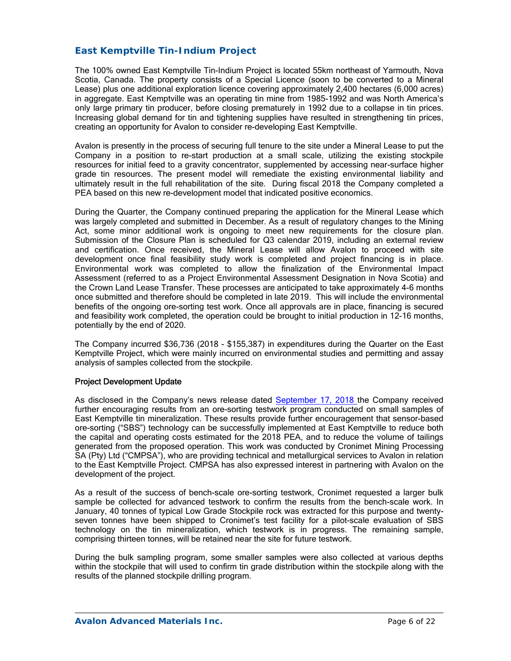### *East Kemptville Tin-Indium Project*

The 100% owned East Kemptville Tin-Indium Project is located 55km northeast of Yarmouth, Nova Scotia, Canada. The property consists of a Special Licence (soon to be converted to a Mineral Lease) plus one additional exploration licence covering approximately 2,400 hectares (6,000 acres) in aggregate. East Kemptville was an operating tin mine from 1985-1992 and was North America's only large primary tin producer, before closing prematurely in 1992 due to a collapse in tin prices. Increasing global demand for tin and tightening supplies have resulted in strengthening tin prices, creating an opportunity for Avalon to consider re-developing East Kemptville.

Avalon is presently in the process of securing full tenure to the site under a Mineral Lease to put the Company in a position to re-start production at a small scale, utilizing the existing stockpile resources for initial feed to a gravity concentrator, supplemented by accessing near-surface higher grade tin resources. The present model will remediate the existing environmental liability and ultimately result in the full rehabilitation of the site. During fiscal 2018 the Company completed a PEA based on this new re-development model that indicated positive economics.

During the Quarter, the Company continued preparing the application for the Mineral Lease which was largely completed and submitted in December. As a result of regulatory changes to the Mining Act, some minor additional work is ongoing to meet new requirements for the closure plan. Submission of the Closure Plan is scheduled for Q3 calendar 2019, including an external review and certification. Once received, the Mineral Lease will allow Avalon to proceed with site development once final feasibility study work is completed and project financing is in place. Environmental work was completed to allow the finalization of the Environmental Impact Assessment (referred to as a Project Environmental Assessment Designation in Nova Scotia) and the Crown Land Lease Transfer. These processes are anticipated to take approximately 4-6 months once submitted and therefore should be completed in late 2019. This will include the environmental benefits of the ongoing ore-sorting test work. Once all approvals are in place, financing is secured and feasibility work completed, the operation could be brought to initial production in 12-16 months, potentially by the end of 2020.

The Company incurred \$36,736 (2018 - \$155,387) in expenditures during the Quarter on the East Kemptville Project, which were mainly incurred on environmental studies and permitting and assay analysis of samples collected from the stockpile.

### Project Development Update

As disclosed in the Company's news release dated September 17, 2018 the Company received further encouraging results from an ore-sorting testwork program conducted on small samples of East Kemptville tin mineralization. These results provide further encouragement that sensor-based ore-sorting ("SBS") technology can be successfully implemented at East Kemptville to reduce both the capital and operating costs estimated for the 2018 PEA, and to reduce the volume of tailings generated from the proposed operation. This work was conducted by Cronimet Mining Processing SA (Pty) Ltd ("CMPSA"), who are providing technical and metallurgical services to Avalon in relation to the East Kemptville Project. CMPSA has also expressed interest in partnering with Avalon on the development of the project.

As a result of the success of bench-scale ore-sorting testwork, Cronimet requested a larger bulk sample be collected for advanced testwork to confirm the results from the bench-scale work. In January, 40 tonnes of typical Low Grade Stockpile rock was extracted for this purpose and twentyseven tonnes have been shipped to Cronimet's test facility for a pilot-scale evaluation of SBS technology on the tin mineralization, which testwork is in progress. The remaining sample, comprising thirteen tonnes, will be retained near the site for future testwork.

During the bulk sampling program, some smaller samples were also collected at various depths within the stockpile that will used to confirm tin grade distribution within the stockpile along with the results of the planned stockpile drilling program.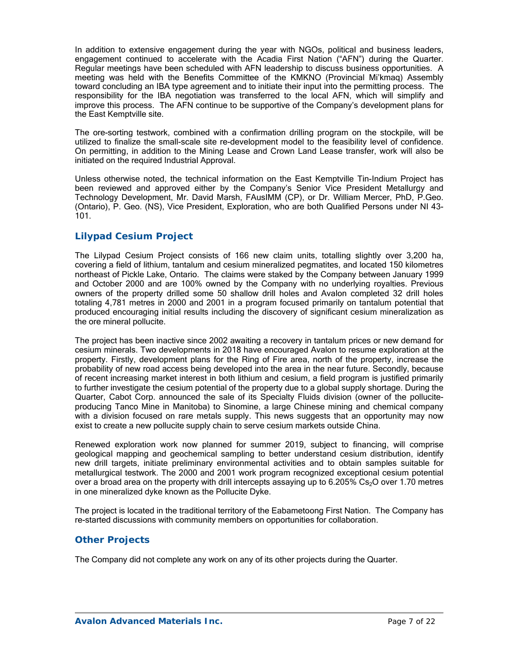In addition to extensive engagement during the year with NGOs, political and business leaders, engagement continued to accelerate with the Acadia First Nation ("AFN") during the Quarter. Regular meetings have been scheduled with AFN leadership to discuss business opportunities. A meeting was held with the Benefits Committee of the KMKNO (Provincial Mi'kmaq) Assembly toward concluding an IBA type agreement and to initiate their input into the permitting process. The responsibility for the IBA negotiation was transferred to the local AFN, which will simplify and improve this process. The AFN continue to be supportive of the Company's development plans for the East Kemptville site.

The ore-sorting testwork, combined with a confirmation drilling program on the stockpile, will be utilized to finalize the small-scale site re-development model to the feasibility level of confidence. On permitting, in addition to the Mining Lease and Crown Land Lease transfer, work will also be initiated on the required Industrial Approval.

Unless otherwise noted, the technical information on the East Kemptville Tin-Indium Project has been reviewed and approved either by the Company's Senior Vice President Metallurgy and Technology Development, Mr. David Marsh, FAusIMM (CP), or Dr. William Mercer, PhD, P.Geo. (Ontario), P. Geo. (NS), Vice President, Exploration, who are both Qualified Persons under NI 43- 101.

### *Lilypad Cesium Project*

The Lilypad Cesium Project consists of 166 new claim units, totalling slightly over 3,200 ha, covering a field of lithium, tantalum and cesium mineralized pegmatites, and located 150 kilometres northeast of Pickle Lake, Ontario. The claims were staked by the Company between January 1999 and October 2000 and are 100% owned by the Company with no underlying royalties. Previous owners of the property drilled some 50 shallow drill holes and Avalon completed 32 drill holes totaling 4,781 metres in 2000 and 2001 in a program focused primarily on tantalum potential that produced encouraging initial results including the discovery of significant cesium mineralization as the ore mineral pollucite.

The project has been inactive since 2002 awaiting a recovery in tantalum prices or new demand for cesium minerals. Two developments in 2018 have encouraged Avalon to resume exploration at the property. Firstly, development plans for the Ring of Fire area, north of the property, increase the probability of new road access being developed into the area in the near future. Secondly, because of recent increasing market interest in both lithium and cesium, a field program is justified primarily to further investigate the cesium potential of the property due to a global supply shortage. During the Quarter, Cabot Corp. announced the sale of its Specialty Fluids division (owner of the polluciteproducing Tanco Mine in Manitoba) to Sinomine, a large Chinese mining and chemical company with a division focused on rare metals supply. This news suggests that an opportunity may now exist to create a new pollucite supply chain to serve cesium markets outside China.

Renewed exploration work now planned for summer 2019, subject to financing, will comprise geological mapping and geochemical sampling to better understand cesium distribution, identify new drill targets, initiate preliminary environmental activities and to obtain samples suitable for metallurgical testwork. The 2000 and 2001 work program recognized exceptional cesium potential over a broad area on the property with drill intercepts assaying up to  $6.205\%$  Cs<sub>2</sub>O over 1.70 metres in one mineralized dyke known as the Pollucite Dyke.

The project is located in the traditional territory of the Eabametoong First Nation. The Company has re-started discussions with community members on opportunities for collaboration.

### *Other Projects*

The Company did not complete any work on any of its other projects during the Quarter.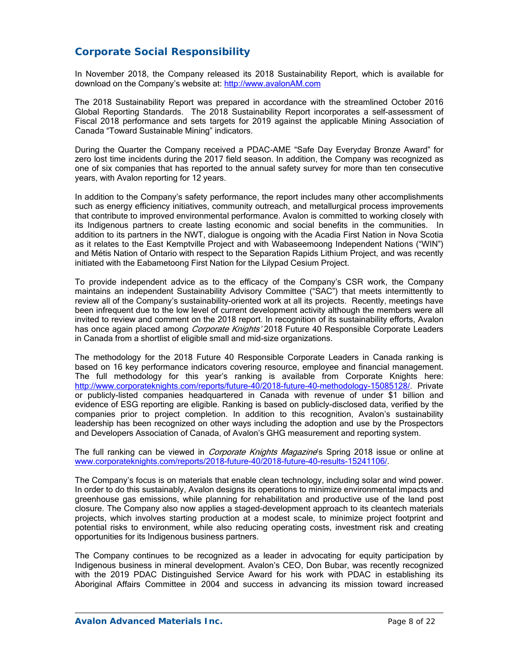# **Corporate Social Responsibility**

In November 2018, the Company released its 2018 Sustainability Report, which is available for download on the Company's website at: http://www.avalonAM.com

The 2018 Sustainability Report was prepared in accordance with the streamlined October 2016 Global Reporting Standards. The 2018 Sustainability Report incorporates a self-assessment of Fiscal 2018 performance and sets targets for 2019 against the applicable Mining Association of Canada "Toward Sustainable Mining" indicators.

During the Quarter the Company received a PDAC-AME "Safe Day Everyday Bronze Award" for zero lost time incidents during the 2017 field season. In addition, the Company was recognized as one of six companies that has reported to the annual safety survey for more than ten consecutive years, with Avalon reporting for 12 years.

In addition to the Company's safety performance, the report includes many other accomplishments such as energy efficiency initiatives, community outreach, and metallurgical process improvements that contribute to improved environmental performance. Avalon is committed to working closely with its Indigenous partners to create lasting economic and social benefits in the communities. In addition to its partners in the NWT, dialogue is ongoing with the Acadia First Nation in Nova Scotia as it relates to the East Kemptville Project and with Wabaseemoong Independent Nations ("WIN") and Métis Nation of Ontario with respect to the Separation Rapids Lithium Project, and was recently initiated with the Eabametoong First Nation for the Lilypad Cesium Project.

To provide independent advice as to the efficacy of the Company's CSR work, the Company maintains an independent Sustainability Advisory Committee ("SAC") that meets intermittently to review all of the Company's sustainability-oriented work at all its projects. Recently, meetings have been infrequent due to the low level of current development activity although the members were all invited to review and comment on the 2018 report. In recognition of its sustainability efforts, Avalon has once again placed among *Corporate Knights'* 2018 Future 40 Responsible Corporate Leaders in Canada from a shortlist of eligible small and mid-size organizations.

The methodology for the 2018 Future 40 Responsible Corporate Leaders in Canada ranking is based on 16 key performance indicators covering resource, employee and financial management. The full methodology for this year's ranking is available from Corporate Knights here: http://www.corporateknights.com/reports/future-40/2018-future-40-methodology-15085128/. Private or publicly-listed companies headquartered in Canada with revenue of under \$1 billion and evidence of ESG reporting are eligible. Ranking is based on publicly-disclosed data, verified by the companies prior to project completion. In addition to this recognition, Avalon's sustainability leadership has been recognized on other ways including the adoption and use by the Prospectors and Developers Association of Canada, of Avalon's GHG measurement and reporting system.

The full ranking can be viewed in *Corporate Knights Magazine*'s Spring 2018 issue or online at www.corporateknights.com/reports/2018-future-40/2018-future-40-results-15241106/.

The Company's focus is on materials that enable clean technology, including solar and wind power. In order to do this sustainably, Avalon designs its operations to minimize environmental impacts and greenhouse gas emissions, while planning for rehabilitation and productive use of the land post closure. The Company also now applies a staged-development approach to its cleantech materials projects, which involves starting production at a modest scale, to minimize project footprint and potential risks to environment, while also reducing operating costs, investment risk and creating opportunities for its Indigenous business partners.

The Company continues to be recognized as a leader in advocating for equity participation by Indigenous business in mineral development. Avalon's CEO, Don Bubar, was recently recognized with the 2019 PDAC Distinguished Service Award for his work with PDAC in establishing its Aboriginal Affairs Committee in 2004 and success in advancing its mission toward increased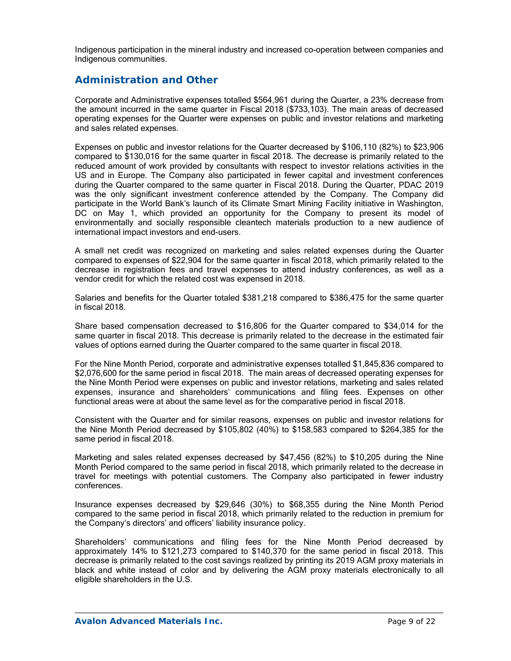Indigenous participation in the mineral industry and increased co-operation between companies and Indigenous communities.

# **Administration and Other**

Corporate and Administrative expenses totalled \$564,961 during the Quarter, a 23% decrease from the amount incurred in the same quarter in Fiscal 2018 (\$733,103). The main areas of decreased operating expenses for the Quarter were expenses on public and investor relations and marketing and sales related expenses.

Expenses on public and investor relations for the Quarter decreased by \$106,110 (82%) to \$23,906 compared to \$130,016 for the same quarter in fiscal 2018. The decrease is primarily related to the reduced amount of work provided by consultants with respect to investor relations activities in the US and in Europe. The Company also participated in fewer capital and investment conferences during the Quarter compared to the same quarter in Fiscal 2018. During the Quarter, PDAC 2019 was the only significant investment conference attended by the Company. The Company did participate in the World Bank's launch of its Climate Smart Mining Facility initiative in Washington, DC on May 1, which provided an opportunity for the Company to present its model of environmentally and socially responsible cleantech materials production to a new audience of international impact investors and end-users.

A small net credit was recognized on marketing and sales related expenses during the Quarter compared to expenses of \$22,904 for the same quarter in fiscal 2018, which primarily related to the decrease in registration fees and travel expenses to attend industry conferences, as well as a vendor credit for which the related cost was expensed in 2018.

Salaries and benefits for the Quarter totaled \$381,218 compared to \$386,475 for the same quarter in fiscal 2018.

Share based compensation decreased to \$16,806 for the Quarter compared to \$34,014 for the same quarter in fiscal 2018. This decrease is primarily related to the decrease in the estimated fair values of options earned during the Quarter compared to the same quarter in fiscal 2018.

For the Nine Month Period, corporate and administrative expenses totalled \$1,845,836 compared to \$2,076,600 for the same period in fiscal 2018. The main areas of decreased operating expenses for the Nine Month Period were expenses on public and investor relations, marketing and sales related expenses, insurance and shareholders' communications and filing fees. Expenses on other functional areas were at about the same level as for the comparative period in fiscal 2018.

Consistent with the Quarter and for similar reasons, expenses on public and investor relations for the Nine Month Period decreased by \$105,802 (40%) to \$158,583 compared to \$264,385 for the same period in fiscal 2018.

Marketing and sales related expenses decreased by \$47,456 (82%) to \$10,205 during the Nine Month Period compared to the same period in fiscal 2018, which primarily related to the decrease in travel for meetings with potential customers. The Company also participated in fewer industry conferences.

Insurance expenses decreased by \$29,646 (30%) to \$68,355 during the Nine Month Period compared to the same period in fiscal 2018, which primarily related to the reduction in premium for the Company's directors' and officers' liability insurance policy.

Shareholders' communications and filing fees for the Nine Month Period decreased by approximately 14% to \$121,273 compared to \$140,370 for the same period in fiscal 2018. This decrease is primarily related to the cost savings realized by printing its 2019 AGM proxy materials in black and white instead of color and by delivering the AGM proxy materials electronically to all eligible shareholders in the U.S.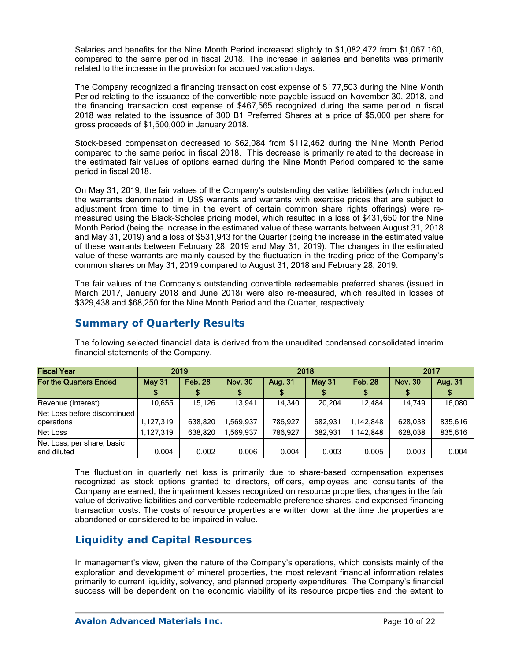Salaries and benefits for the Nine Month Period increased slightly to \$1,082,472 from \$1,067,160, compared to the same period in fiscal 2018. The increase in salaries and benefits was primarily related to the increase in the provision for accrued vacation days.

The Company recognized a financing transaction cost expense of \$177,503 during the Nine Month Period relating to the issuance of the convertible note payable issued on November 30, 2018, and the financing transaction cost expense of \$467,565 recognized during the same period in fiscal 2018 was related to the issuance of 300 B1 Preferred Shares at a price of \$5,000 per share for gross proceeds of \$1,500,000 in January 2018.

Stock-based compensation decreased to \$62,084 from \$112,462 during the Nine Month Period compared to the same period in fiscal 2018. This decrease is primarily related to the decrease in the estimated fair values of options earned during the Nine Month Period compared to the same period in fiscal 2018.

On May 31, 2019, the fair values of the Company's outstanding derivative liabilities (which included the warrants denominated in US\$ warrants and warrants with exercise prices that are subject to adjustment from time to time in the event of certain common share rights offerings) were remeasured using the Black-Scholes pricing model, which resulted in a loss of \$431,650 for the Nine Month Period (being the increase in the estimated value of these warrants between August 31, 2018 and May 31, 2019) and a loss of \$531,943 for the Quarter (being the increase in the estimated value of these warrants between February 28, 2019 and May 31, 2019). The changes in the estimated value of these warrants are mainly caused by the fluctuation in the trading price of the Company's common shares on May 31, 2019 compared to August 31, 2018 and February 28, 2019.

The fair values of the Company's outstanding convertible redeemable preferred shares (issued in March 2017, January 2018 and June 2018) were also re-measured, which resulted in losses of \$329,438 and \$68,250 for the Nine Month Period and the Quarter, respectively.

# **Summary of Quarterly Results**

| <b>Fiscal Year</b>                         |               | 2019           |                | 2018    | 2017          |                |                |         |
|--------------------------------------------|---------------|----------------|----------------|---------|---------------|----------------|----------------|---------|
| For the Quarters Ended                     | <b>May 31</b> | <b>Feb. 28</b> | <b>Nov. 30</b> | Aug. 31 | <b>May 31</b> | <b>Feb. 28</b> | <b>Nov. 30</b> | Aug. 31 |
|                                            |               |                |                |         |               |                |                |         |
| Revenue (Interest)                         | 10.655        | 15.126         | 13.941         | 14.340  | 20.204        | 12.484         | 14.749         | 16,080  |
| Net Loss before discontinued<br>operations | 1,127,319     | 638,820        | .569.937       | 786.927 | 682.931       | 1,142,848      | 628.038        | 835,616 |
| Net Loss                                   | 1,127,319     | 638,820        | ,569,937       | 786.927 | 682.931       | 1,142,848      | 628,038        | 835,616 |
| Net Loss, per share, basic<br>land diluted | 0.004         | 0.002          | 0.006          | 0.004   | 0.003         | 0.005          | 0.003          | 0.004   |

The following selected financial data is derived from the unaudited condensed consolidated interim financial statements of the Company.

The fluctuation in quarterly net loss is primarily due to share-based compensation expenses recognized as stock options granted to directors, officers, employees and consultants of the Company are earned, the impairment losses recognized on resource properties, changes in the fair value of derivative liabilities and convertible redeemable preference shares, and expensed financing transaction costs. The costs of resource properties are written down at the time the properties are abandoned or considered to be impaired in value.

# **Liquidity and Capital Resources**

In management's view, given the nature of the Company's operations, which consists mainly of the exploration and development of mineral properties, the most relevant financial information relates primarily to current liquidity, solvency, and planned property expenditures. The Company's financial success will be dependent on the economic viability of its resource properties and the extent to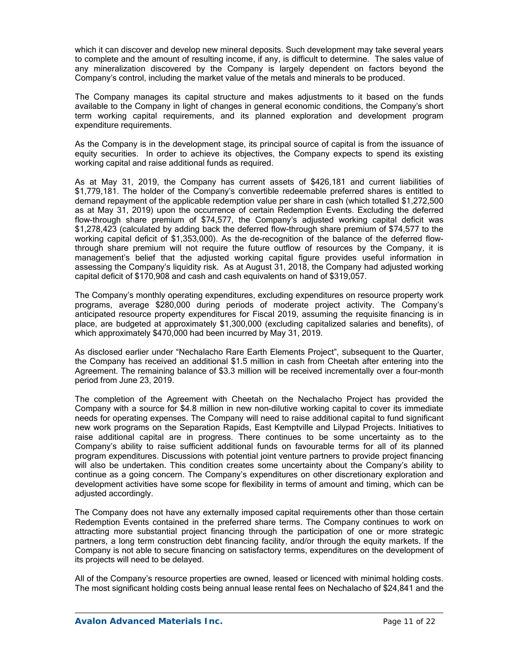which it can discover and develop new mineral deposits. Such development may take several years to complete and the amount of resulting income, if any, is difficult to determine. The sales value of any mineralization discovered by the Company is largely dependent on factors beyond the Company's control, including the market value of the metals and minerals to be produced.

The Company manages its capital structure and makes adjustments to it based on the funds available to the Company in light of changes in general economic conditions, the Company's short term working capital requirements, and its planned exploration and development program expenditure requirements.

As the Company is in the development stage, its principal source of capital is from the issuance of equity securities. In order to achieve its objectives, the Company expects to spend its existing working capital and raise additional funds as required.

As at May 31, 2019, the Company has current assets of \$426,181 and current liabilities of \$1,779,181. The holder of the Company's convertible redeemable preferred shares is entitled to demand repayment of the applicable redemption value per share in cash (which totalled \$1,272,500 as at May 31, 2019) upon the occurrence of certain Redemption Events. Excluding the deferred flow-through share premium of \$74,577, the Company's adjusted working capital deficit was \$1,278,423 (calculated by adding back the deferred flow-through share premium of \$74,577 to the working capital deficit of \$1,353,000). As the de-recognition of the balance of the deferred flowthrough share premium will not require the future outflow of resources by the Company, it is management's belief that the adjusted working capital figure provides useful information in assessing the Company's liquidity risk. As at August 31, 2018, the Company had adjusted working capital deficit of \$170,908 and cash and cash equivalents on hand of \$319,057.

The Company's monthly operating expenditures, excluding expenditures on resource property work programs, average \$280,000 during periods of moderate project activity. The Company's anticipated resource property expenditures for Fiscal 2019, assuming the requisite financing is in place, are budgeted at approximately \$1,300,000 (excluding capitalized salaries and benefits), of which approximately \$470,000 had been incurred by May 31, 2019.

As disclosed earlier under "Nechalacho Rare Earth Elements Project", subsequent to the Quarter, the Company has received an additional \$1.5 million in cash from Cheetah after entering into the Agreement. The remaining balance of \$3.3 million will be received incrementally over a four-month period from June 23, 2019.

The completion of the Agreement with Cheetah on the Nechalacho Project has provided the Company with a source for \$4.8 million in new non-dilutive working capital to cover its immediate needs for operating expenses. The Company will need to raise additional capital to fund significant new work programs on the Separation Rapids, East Kemptville and Lilypad Projects. Initiatives to raise additional capital are in progress. There continues to be some uncertainty as to the Company's ability to raise sufficient additional funds on favourable terms for all of its planned program expenditures. Discussions with potential joint venture partners to provide project financing will also be undertaken. This condition creates some uncertainty about the Company's ability to continue as a going concern. The Company's expenditures on other discretionary exploration and development activities have some scope for flexibility in terms of amount and timing, which can be adjusted accordingly.

The Company does not have any externally imposed capital requirements other than those certain Redemption Events contained in the preferred share terms. The Company continues to work on attracting more substantial project financing through the participation of one or more strategic partners, a long term construction debt financing facility, and/or through the equity markets. If the Company is not able to secure financing on satisfactory terms, expenditures on the development of its projects will need to be delayed.

All of the Company's resource properties are owned, leased or licenced with minimal holding costs. The most significant holding costs being annual lease rental fees on Nechalacho of \$24,841 and the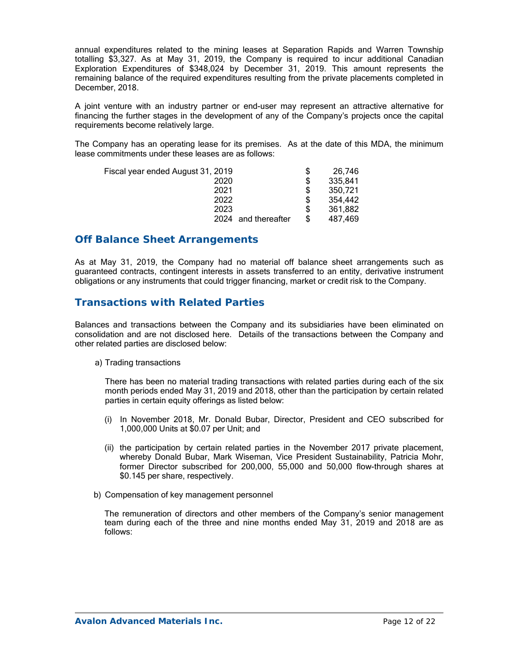annual expenditures related to the mining leases at Separation Rapids and Warren Township totalling \$3,327. As at May 31, 2019, the Company is required to incur additional Canadian Exploration Expenditures of \$348,024 by December 31, 2019. This amount represents the remaining balance of the required expenditures resulting from the private placements completed in December, 2018.

A joint venture with an industry partner or end-user may represent an attractive alternative for financing the further stages in the development of any of the Company's projects once the capital requirements become relatively large.

The Company has an operating lease for its premises. As at the date of this MDA, the minimum lease commitments under these leases are as follows:

| Fiscal year ended August 31, 2019 | S  | 26.746  |
|-----------------------------------|----|---------|
| 2020                              | S  | 335,841 |
| 2021                              | S  | 350.721 |
| 2022                              | S  | 354.442 |
| 2023                              | S  | 361,882 |
| 2024 and thereafter               | \$ | 487,469 |

### **Off Balance Sheet Arrangements**

As at May 31, 2019, the Company had no material off balance sheet arrangements such as guaranteed contracts, contingent interests in assets transferred to an entity, derivative instrument obligations or any instruments that could trigger financing, market or credit risk to the Company.

## **Transactions with Related Parties**

Balances and transactions between the Company and its subsidiaries have been eliminated on consolidation and are not disclosed here. Details of the transactions between the Company and other related parties are disclosed below:

a) Trading transactions

 There has been no material trading transactions with related parties during each of the six month periods ended May 31, 2019 and 2018, other than the participation by certain related parties in certain equity offerings as listed below:

- (i) In November 2018, Mr. Donald Bubar, Director, President and CEO subscribed for 1,000,000 Units at \$0.07 per Unit; and
- (ii) the participation by certain related parties in the November 2017 private placement, whereby Donald Bubar, Mark Wiseman, Vice President Sustainability, Patricia Mohr, former Director subscribed for 200,000, 55,000 and 50,000 flow-through shares at \$0.145 per share, respectively.
- b) Compensation of key management personnel

 The remuneration of directors and other members of the Company's senior management team during each of the three and nine months ended May 31, 2019 and 2018 are as follows: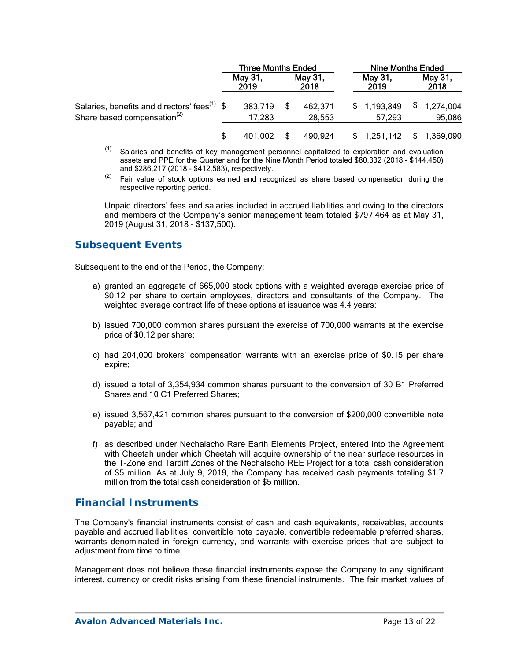|                                                          | <b>Three Months Ended</b> |  |                 | <b>Nine Months Ended</b> |                 |    |                 |
|----------------------------------------------------------|---------------------------|--|-----------------|--------------------------|-----------------|----|-----------------|
|                                                          | May 31,<br>2019           |  | May 31,<br>2018 |                          | May 31,<br>2019 |    | May 31,<br>2018 |
| Salaries, benefits and directors' fees <sup>(1)</sup> \$ | 383,719                   |  | 462,371         |                          | \$1,193,849     |    | \$1,274,004     |
| Share based compensation <sup>(2)</sup>                  | 17,283                    |  | 28,553          |                          | 57.293          |    | 95,086          |
|                                                          | 401.002                   |  | 490,924         |                          | 1,251,142       | S. | 1,369,090       |

- $(1)$  Salaries and benefits of key management personnel capitalized to exploration and evaluation assets and PPE for the Quarter and for the Nine Month Period totaled \$80,332 (2018 – \$144,450) and \$286,217 (2018 - \$412,583), respectively.
- $(2)$  Fair value of stock options earned and recognized as share based compensation during the respective reporting period.

 Unpaid directors' fees and salaries included in accrued liabilities and owing to the directors and members of the Company's senior management team totaled \$797,464 as at May 31, 2019 (August 31, 2018 - \$137,500).

## **Subsequent Events**

Subsequent to the end of the Period, the Company:

- a) granted an aggregate of 665,000 stock options with a weighted average exercise price of \$0.12 per share to certain employees, directors and consultants of the Company. The weighted average contract life of these options at issuance was 4.4 years;
- b) issued 700,000 common shares pursuant the exercise of 700,000 warrants at the exercise price of \$0.12 per share;
- c) had 204,000 brokers' compensation warrants with an exercise price of \$0.15 per share expire;
- d) issued a total of 3,354,934 common shares pursuant to the conversion of 30 B1 Preferred Shares and 10 C1 Preferred Shares;
- e) issued 3,567,421 common shares pursuant to the conversion of \$200,000 convertible note payable; and
- f) as described under Nechalacho Rare Earth Elements Project, entered into the Agreement with Cheetah under which Cheetah will acquire ownership of the near surface resources in the T-Zone and Tardiff Zones of the Nechalacho REE Project for a total cash consideration of \$5 million. As at July 9, 2019, the Company has received cash payments totaling \$1.7 million from the total cash consideration of \$5 million.

## **Financial Instruments**

The Company's financial instruments consist of cash and cash equivalents, receivables, accounts payable and accrued liabilities, convertible note payable, convertible redeemable preferred shares, warrants denominated in foreign currency, and warrants with exercise prices that are subject to adjustment from time to time.

Management does not believe these financial instruments expose the Company to any significant interest, currency or credit risks arising from these financial instruments. The fair market values of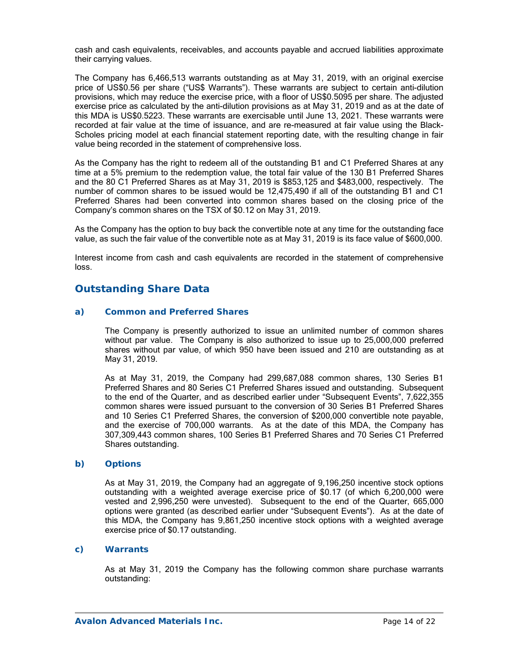cash and cash equivalents, receivables, and accounts payable and accrued liabilities approximate their carrying values.

The Company has 6,466,513 warrants outstanding as at May 31, 2019, with an original exercise price of US\$0.56 per share ("US\$ Warrants"). These warrants are subject to certain anti-dilution provisions, which may reduce the exercise price, with a floor of US\$0.5095 per share. The adjusted exercise price as calculated by the anti-dilution provisions as at May 31, 2019 and as at the date of this MDA is US\$0.5223. These warrants are exercisable until June 13, 2021. These warrants were recorded at fair value at the time of issuance, and are re-measured at fair value using the Black-Scholes pricing model at each financial statement reporting date, with the resulting change in fair value being recorded in the statement of comprehensive loss.

As the Company has the right to redeem all of the outstanding B1 and C1 Preferred Shares at any time at a 5% premium to the redemption value, the total fair value of the 130 B1 Preferred Shares and the 80 C1 Preferred Shares as at May 31, 2019 is \$853,125 and \$483,000, respectively. The number of common shares to be issued would be 12,475,490 if all of the outstanding B1 and C1 Preferred Shares had been converted into common shares based on the closing price of the Company's common shares on the TSX of \$0.12 on May 31, 2019.

As the Company has the option to buy back the convertible note at any time for the outstanding face value, as such the fair value of the convertible note as at May 31, 2019 is its face value of \$600,000.

Interest income from cash and cash equivalents are recorded in the statement of comprehensive loss.

## **Outstanding Share Data**

### *a) Common and Preferred Shares*

The Company is presently authorized to issue an unlimited number of common shares without par value. The Company is also authorized to issue up to 25,000,000 preferred shares without par value, of which 950 have been issued and 210 are outstanding as at May 31, 2019.

As at May 31, 2019, the Company had 299,687,088 common shares, 130 Series B1 Preferred Shares and 80 Series C1 Preferred Shares issued and outstanding. Subsequent to the end of the Quarter, and as described earlier under "Subsequent Events", 7,622,355 common shares were issued pursuant to the conversion of 30 Series B1 Preferred Shares and 10 Series C1 Preferred Shares, the conversion of \$200,000 convertible note payable, and the exercise of 700,000 warrants. As at the date of this MDA, the Company has 307,309,443 common shares, 100 Series B1 Preferred Shares and 70 Series C1 Preferred Shares outstanding.

#### *b) Options*

As at May 31, 2019, the Company had an aggregate of 9,196,250 incentive stock options outstanding with a weighted average exercise price of \$0.17 (of which 6,200,000 were vested and 2,996,250 were unvested). Subsequent to the end of the Quarter, 665,000 options were granted (as described earlier under "Subsequent Events"). As at the date of this MDA, the Company has 9,861,250 incentive stock options with a weighted average exercise price of \$0.17 outstanding.

### *c) Warrants*

As at May 31, 2019 the Company has the following common share purchase warrants outstanding: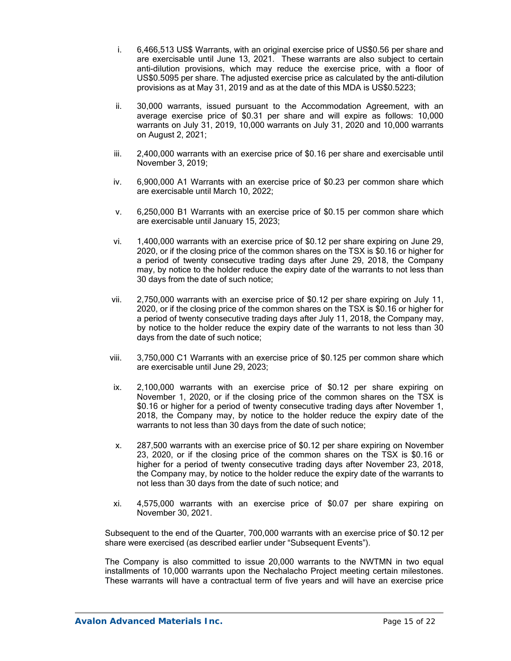- i. 6,466,513 US\$ Warrants, with an original exercise price of US\$0.56 per share and are exercisable until June 13, 2021. These warrants are also subject to certain anti-dilution provisions, which may reduce the exercise price, with a floor of US\$0.5095 per share. The adjusted exercise price as calculated by the anti-dilution provisions as at May 31, 2019 and as at the date of this MDA is US\$0.5223;
- ii. 30,000 warrants, issued pursuant to the Accommodation Agreement, with an average exercise price of \$0.31 per share and will expire as follows: 10,000 warrants on July 31, 2019, 10,000 warrants on July 31, 2020 and 10,000 warrants on August 2, 2021;
- iii. 2,400,000 warrants with an exercise price of \$0.16 per share and exercisable until November 3, 2019;
- iv. 6,900,000 A1 Warrants with an exercise price of \$0.23 per common share which are exercisable until March 10, 2022;
- v. 6,250,000 B1 Warrants with an exercise price of \$0.15 per common share which are exercisable until January 15, 2023;
- vi. 1,400,000 warrants with an exercise price of \$0.12 per share expiring on June 29, 2020, or if the closing price of the common shares on the TSX is \$0.16 or higher for a period of twenty consecutive trading days after June 29, 2018, the Company may, by notice to the holder reduce the expiry date of the warrants to not less than 30 days from the date of such notice;
- vii. 2,750,000 warrants with an exercise price of \$0.12 per share expiring on July 11, 2020, or if the closing price of the common shares on the TSX is \$0.16 or higher for a period of twenty consecutive trading days after July 11, 2018, the Company may, by notice to the holder reduce the expiry date of the warrants to not less than 30 days from the date of such notice;
- viii. 3,750,000 C1 Warrants with an exercise price of \$0.125 per common share which are exercisable until June 29, 2023;
- ix. 2,100,000 warrants with an exercise price of \$0.12 per share expiring on November 1, 2020, or if the closing price of the common shares on the TSX is \$0.16 or higher for a period of twenty consecutive trading days after November 1, 2018, the Company may, by notice to the holder reduce the expiry date of the warrants to not less than 30 days from the date of such notice;
- x. 287,500 warrants with an exercise price of \$0.12 per share expiring on November 23, 2020, or if the closing price of the common shares on the TSX is \$0.16 or higher for a period of twenty consecutive trading days after November 23, 2018, the Company may, by notice to the holder reduce the expiry date of the warrants to not less than 30 days from the date of such notice; and
- xi. 4,575,000 warrants with an exercise price of \$0.07 per share expiring on November 30, 2021.

Subsequent to the end of the Quarter, 700,000 warrants with an exercise price of \$0.12 per share were exercised (as described earlier under "Subsequent Events").

The Company is also committed to issue 20,000 warrants to the NWTMN in two equal installments of 10,000 warrants upon the Nechalacho Project meeting certain milestones. These warrants will have a contractual term of five years and will have an exercise price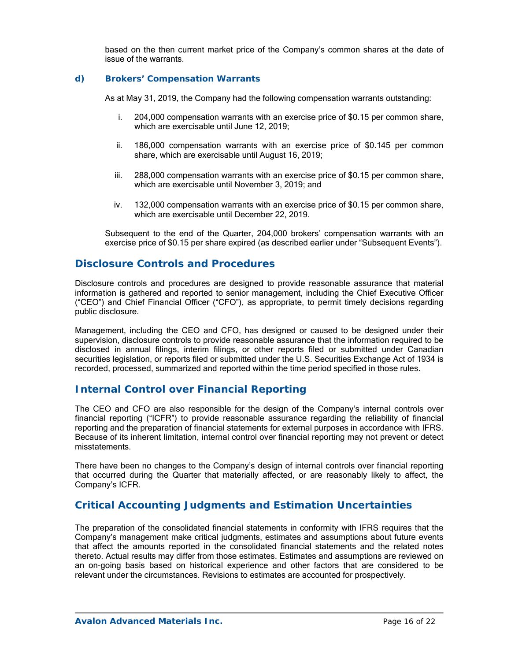based on the then current market price of the Company's common shares at the date of issue of the warrants.

### *d) Brokers' Compensation Warrants*

As at May 31, 2019, the Company had the following compensation warrants outstanding:

- i. 204,000 compensation warrants with an exercise price of \$0.15 per common share, which are exercisable until June 12, 2019;
- ii. 186,000 compensation warrants with an exercise price of \$0.145 per common share, which are exercisable until August 16, 2019;
- iii. 288,000 compensation warrants with an exercise price of \$0.15 per common share, which are exercisable until November 3, 2019; and
- iv. 132,000 compensation warrants with an exercise price of \$0.15 per common share, which are exercisable until December 22, 2019.

Subsequent to the end of the Quarter, 204,000 brokers' compensation warrants with an exercise price of \$0.15 per share expired (as described earlier under "Subsequent Events").

### **Disclosure Controls and Procedures**

Disclosure controls and procedures are designed to provide reasonable assurance that material information is gathered and reported to senior management, including the Chief Executive Officer ("CEO") and Chief Financial Officer ("CFO"), as appropriate, to permit timely decisions regarding public disclosure.

Management, including the CEO and CFO, has designed or caused to be designed under their supervision, disclosure controls to provide reasonable assurance that the information required to be disclosed in annual filings, interim filings, or other reports filed or submitted under Canadian securities legislation, or reports filed or submitted under the U.S. Securities Exchange Act of 1934 is recorded, processed, summarized and reported within the time period specified in those rules.

## **Internal Control over Financial Reporting**

The CEO and CFO are also responsible for the design of the Company's internal controls over financial reporting ("ICFR") to provide reasonable assurance regarding the reliability of financial reporting and the preparation of financial statements for external purposes in accordance with IFRS. Because of its inherent limitation, internal control over financial reporting may not prevent or detect misstatements.

There have been no changes to the Company's design of internal controls over financial reporting that occurred during the Quarter that materially affected, or are reasonably likely to affect, the Company's ICFR.

## **Critical Accounting Judgments and Estimation Uncertainties**

The preparation of the consolidated financial statements in conformity with IFRS requires that the Company's management make critical judgments, estimates and assumptions about future events that affect the amounts reported in the consolidated financial statements and the related notes thereto. Actual results may differ from those estimates. Estimates and assumptions are reviewed on an on-going basis based on historical experience and other factors that are considered to be relevant under the circumstances. Revisions to estimates are accounted for prospectively.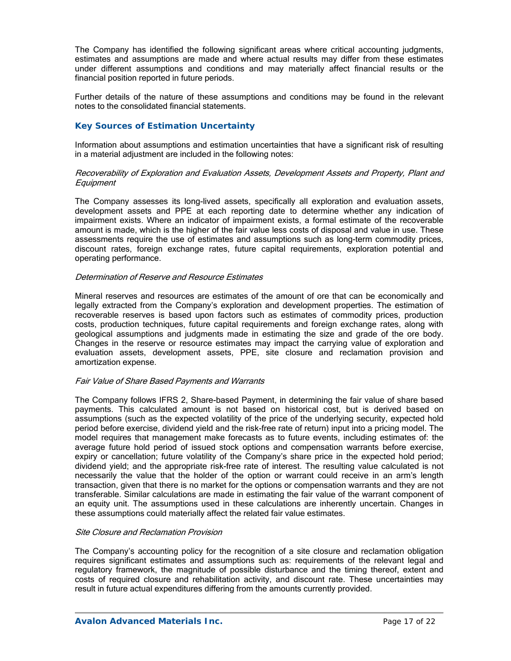The Company has identified the following significant areas where critical accounting judgments, estimates and assumptions are made and where actual results may differ from these estimates under different assumptions and conditions and may materially affect financial results or the financial position reported in future periods.

Further details of the nature of these assumptions and conditions may be found in the relevant notes to the consolidated financial statements.

### *Key Sources of Estimation Uncertainty*

Information about assumptions and estimation uncertainties that have a significant risk of resulting in a material adjustment are included in the following notes:

#### Recoverability of Exploration and Evaluation Assets, Development Assets and Property, Plant and **Equipment**

The Company assesses its long-lived assets, specifically all exploration and evaluation assets, development assets and PPE at each reporting date to determine whether any indication of impairment exists. Where an indicator of impairment exists, a formal estimate of the recoverable amount is made, which is the higher of the fair value less costs of disposal and value in use. These assessments require the use of estimates and assumptions such as long-term commodity prices, discount rates, foreign exchange rates, future capital requirements, exploration potential and operating performance.

#### Determination of Reserve and Resource Estimates

Mineral reserves and resources are estimates of the amount of ore that can be economically and legally extracted from the Company's exploration and development properties. The estimation of recoverable reserves is based upon factors such as estimates of commodity prices, production costs, production techniques, future capital requirements and foreign exchange rates, along with geological assumptions and judgments made in estimating the size and grade of the ore body. Changes in the reserve or resource estimates may impact the carrying value of exploration and evaluation assets, development assets, PPE, site closure and reclamation provision and amortization expense.

#### Fair Value of Share Based Payments and Warrants

The Company follows IFRS 2, Share-based Payment, in determining the fair value of share based payments. This calculated amount is not based on historical cost, but is derived based on assumptions (such as the expected volatility of the price of the underlying security, expected hold period before exercise, dividend yield and the risk-free rate of return) input into a pricing model. The model requires that management make forecasts as to future events, including estimates of: the average future hold period of issued stock options and compensation warrants before exercise, expiry or cancellation; future volatility of the Company's share price in the expected hold period; dividend yield; and the appropriate risk-free rate of interest. The resulting value calculated is not necessarily the value that the holder of the option or warrant could receive in an arm's length transaction, given that there is no market for the options or compensation warrants and they are not transferable. Similar calculations are made in estimating the fair value of the warrant component of an equity unit. The assumptions used in these calculations are inherently uncertain. Changes in these assumptions could materially affect the related fair value estimates.

### Site Closure and Reclamation Provision

The Company's accounting policy for the recognition of a site closure and reclamation obligation requires significant estimates and assumptions such as: requirements of the relevant legal and regulatory framework, the magnitude of possible disturbance and the timing thereof, extent and costs of required closure and rehabilitation activity, and discount rate. These uncertainties may result in future actual expenditures differing from the amounts currently provided.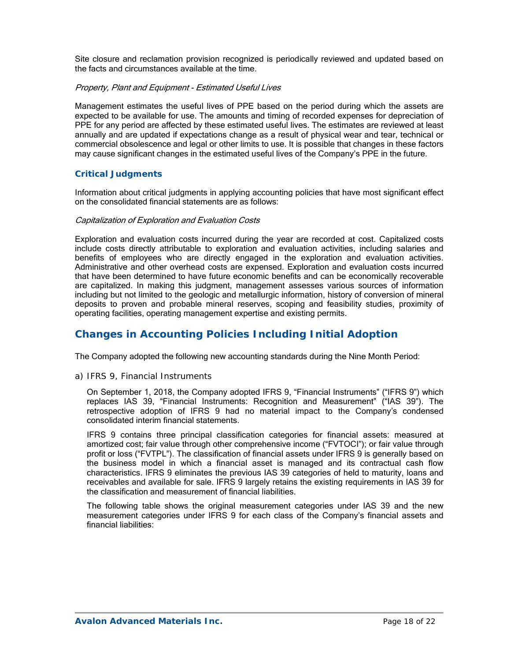Site closure and reclamation provision recognized is periodically reviewed and updated based on the facts and circumstances available at the time.

#### Property, Plant and Equipment - Estimated Useful Lives

Management estimates the useful lives of PPE based on the period during which the assets are expected to be available for use. The amounts and timing of recorded expenses for depreciation of PPE for any period are affected by these estimated useful lives. The estimates are reviewed at least annually and are updated if expectations change as a result of physical wear and tear, technical or commercial obsolescence and legal or other limits to use. It is possible that changes in these factors may cause significant changes in the estimated useful lives of the Company's PPE in the future.

### *Critical Judgments*

Information about critical judgments in applying accounting policies that have most significant effect on the consolidated financial statements are as follows:

#### Capitalization of Exploration and Evaluation Costs

Exploration and evaluation costs incurred during the year are recorded at cost. Capitalized costs include costs directly attributable to exploration and evaluation activities, including salaries and benefits of employees who are directly engaged in the exploration and evaluation activities. Administrative and other overhead costs are expensed. Exploration and evaluation costs incurred that have been determined to have future economic benefits and can be economically recoverable are capitalized. In making this judgment, management assesses various sources of information including but not limited to the geologic and metallurgic information, history of conversion of mineral deposits to proven and probable mineral reserves, scoping and feasibility studies, proximity of operating facilities, operating management expertise and existing permits.

# **Changes in Accounting Policies Including Initial Adoption**

The Company adopted the following new accounting standards during the Nine Month Period:

#### *a) IFRS 9, Financial Instruments*

On September 1, 2018, the Company adopted IFRS 9, "Financial Instruments" ("IFRS 9") which replaces IAS 39, "Financial Instruments: Recognition and Measurement" ("IAS 39"). The retrospective adoption of IFRS 9 had no material impact to the Company's condensed consolidated interim financial statements.

IFRS 9 contains three principal classification categories for financial assets: measured at amortized cost; fair value through other comprehensive income ("FVTOCI"); or fair value through profit or loss ("FVTPL"). The classification of financial assets under IFRS 9 is generally based on the business model in which a financial asset is managed and its contractual cash flow characteristics. IFRS 9 eliminates the previous IAS 39 categories of held to maturity, loans and receivables and available for sale. IFRS 9 largely retains the existing requirements in IAS 39 for the classification and measurement of financial liabilities.

The following table shows the original measurement categories under IAS 39 and the new measurement categories under IFRS 9 for each class of the Company's financial assets and financial liabilities: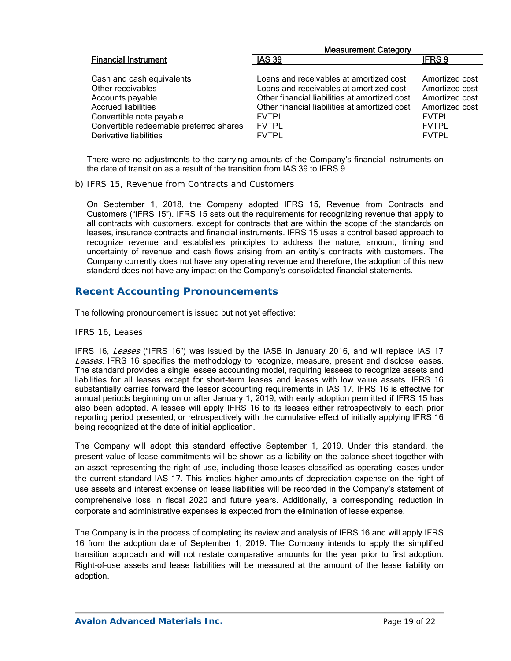|                                                                                                                                                                                                   | <b>Measurement Category</b>                                                                                                                                                                                                          |                                                                                                                      |  |  |  |  |
|---------------------------------------------------------------------------------------------------------------------------------------------------------------------------------------------------|--------------------------------------------------------------------------------------------------------------------------------------------------------------------------------------------------------------------------------------|----------------------------------------------------------------------------------------------------------------------|--|--|--|--|
| <b>Financial Instrument</b>                                                                                                                                                                       | <b>IAS 39</b>                                                                                                                                                                                                                        | IFRS <sub>9</sub>                                                                                                    |  |  |  |  |
| Cash and cash equivalents<br>Other receivables<br>Accounts payable<br><b>Accrued liabilities</b><br>Convertible note payable<br>Convertible redeemable preferred shares<br>Derivative liabilities | Loans and receivables at amortized cost<br>Loans and receivables at amortized cost<br>Other financial liabilities at amortized cost<br>Other financial liabilities at amortized cost<br><b>FVTPL</b><br><b>FVTPL</b><br><b>FVTPL</b> | Amortized cost<br>Amortized cost<br>Amortized cost<br>Amortized cost<br><b>FVTPL</b><br><b>FVTPL</b><br><b>FVTPL</b> |  |  |  |  |
|                                                                                                                                                                                                   |                                                                                                                                                                                                                                      |                                                                                                                      |  |  |  |  |

There were no adjustments to the carrying amounts of the Company's financial instruments on the date of transition as a result of the transition from IAS 39 to IFRS 9.

*b) IFRS 15, Revenue from Contracts and Customers* 

On September 1, 2018, the Company adopted IFRS 15, Revenue from Contracts and Customers ("IFRS 15"). IFRS 15 sets out the requirements for recognizing revenue that apply to all contracts with customers, except for contracts that are within the scope of the standards on leases, insurance contracts and financial instruments. IFRS 15 uses a control based approach to recognize revenue and establishes principles to address the nature, amount, timing and uncertainty of revenue and cash flows arising from an entity's contracts with customers. The Company currently does not have any operating revenue and therefore, the adoption of this new standard does not have any impact on the Company's consolidated financial statements.

## **Recent Accounting Pronouncements**

The following pronouncement is issued but not yet effective:

#### *IFRS 16, Leases*

IFRS 16, Leases ("IFRS 16") was issued by the IASB in January 2016, and will replace IAS 17 Leases. IFRS 16 specifies the methodology to recognize, measure, present and disclose leases. The standard provides a single lessee accounting model, requiring lessees to recognize assets and liabilities for all leases except for short-term leases and leases with low value assets. IFRS 16 substantially carries forward the lessor accounting requirements in IAS 17. IFRS 16 is effective for annual periods beginning on or after January 1, 2019, with early adoption permitted if IFRS 15 has also been adopted. A lessee will apply IFRS 16 to its leases either retrospectively to each prior reporting period presented; or retrospectively with the cumulative effect of initially applying IFRS 16 being recognized at the date of initial application.

The Company will adopt this standard effective September 1, 2019. Under this standard, the present value of lease commitments will be shown as a liability on the balance sheet together with an asset representing the right of use, including those leases classified as operating leases under the current standard IAS 17. This implies higher amounts of depreciation expense on the right of use assets and interest expense on lease liabilities will be recorded in the Company's statement of comprehensive loss in fiscal 2020 and future years. Additionally, a corresponding reduction in corporate and administrative expenses is expected from the elimination of lease expense.

The Company is in the process of completing its review and analysis of IFRS 16 and will apply IFRS 16 from the adoption date of September 1, 2019. The Company intends to apply the simplified transition approach and will not restate comparative amounts for the year prior to first adoption. Right-of-use assets and lease liabilities will be measured at the amount of the lease liability on adoption.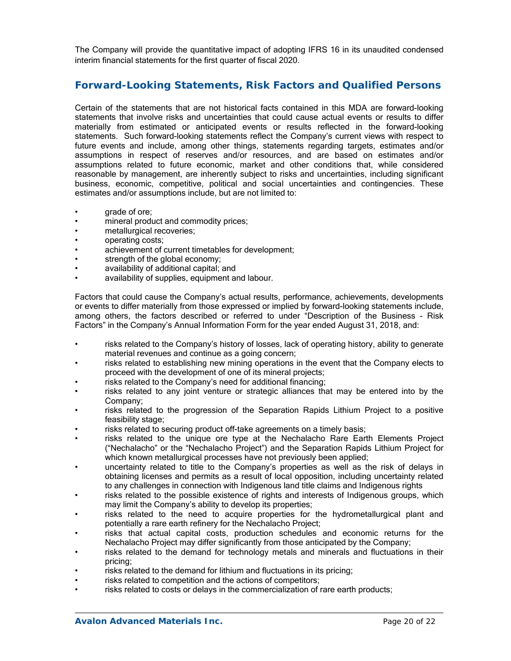The Company will provide the quantitative impact of adopting IFRS 16 in its unaudited condensed interim financial statements for the first quarter of fiscal 2020.

# **Forward-Looking Statements, Risk Factors and Qualified Persons**

Certain of the statements that are not historical facts contained in this MDA are forward-looking statements that involve risks and uncertainties that could cause actual events or results to differ materially from estimated or anticipated events or results reflected in the forward-looking statements. Such forward-looking statements reflect the Company's current views with respect to future events and include, among other things, statements regarding targets, estimates and/or assumptions in respect of reserves and/or resources, and are based on estimates and/or assumptions related to future economic, market and other conditions that, while considered reasonable by management, are inherently subject to risks and uncertainties, including significant business, economic, competitive, political and social uncertainties and contingencies. These estimates and/or assumptions include, but are not limited to:

- arade of ore;
- mineral product and commodity prices;
- metallurgical recoveries;
- operating costs;
- achievement of current timetables for development;
- strength of the global economy;
- availability of additional capital; and
- availability of supplies, equipment and labour.

Factors that could cause the Company's actual results, performance, achievements, developments or events to differ materially from those expressed or implied by forward-looking statements include, among others, the factors described or referred to under "Description of the Business - Risk Factors" in the Company's Annual Information Form for the year ended August 31, 2018, and:

- risks related to the Company's history of losses, lack of operating history, ability to generate material revenues and continue as a going concern;
- risks related to establishing new mining operations in the event that the Company elects to proceed with the development of one of its mineral projects;
- risks related to the Company's need for additional financing;
- risks related to any joint venture or strategic alliances that may be entered into by the Company;
- risks related to the progression of the Separation Rapids Lithium Project to a positive feasibility stage;
- risks related to securing product off-take agreements on a timely basis;
- risks related to the unique ore type at the Nechalacho Rare Earth Elements Project ("Nechalacho" or the "Nechalacho Project") and the Separation Rapids Lithium Project for which known metallurgical processes have not previously been applied;
- uncertainty related to title to the Company's properties as well as the risk of delays in obtaining licenses and permits as a result of local opposition, including uncertainty related to any challenges in connection with Indigenous land title claims and Indigenous rights
- risks related to the possible existence of rights and interests of Indigenous groups, which may limit the Company's ability to develop its properties;
- risks related to the need to acquire properties for the hydrometallurgical plant and potentially a rare earth refinery for the Nechalacho Project;
- risks that actual capital costs, production schedules and economic returns for the Nechalacho Project may differ significantly from those anticipated by the Company;
- risks related to the demand for technology metals and minerals and fluctuations in their pricing;
- risks related to the demand for lithium and fluctuations in its pricing;
- risks related to competition and the actions of competitors;
- risks related to costs or delays in the commercialization of rare earth products;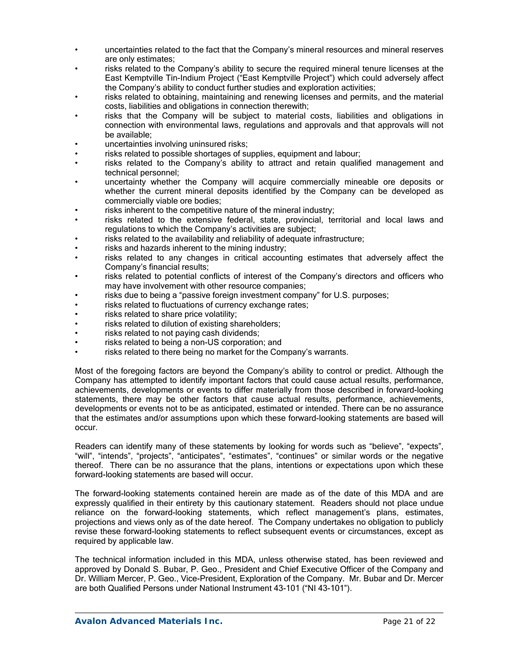- uncertainties related to the fact that the Company's mineral resources and mineral reserves are only estimates;
- risks related to the Company's ability to secure the required mineral tenure licenses at the East Kemptville Tin-Indium Project ("East Kemptville Project") which could adversely affect the Company's ability to conduct further studies and exploration activities;
- risks related to obtaining, maintaining and renewing licenses and permits, and the material costs, liabilities and obligations in connection therewith;
- risks that the Company will be subject to material costs, liabilities and obligations in connection with environmental laws, regulations and approvals and that approvals will not be available;
- uncertainties involving uninsured risks;
- risks related to possible shortages of supplies, equipment and labour;
- risks related to the Company's ability to attract and retain qualified management and technical personnel;
- uncertainty whether the Company will acquire commercially mineable ore deposits or whether the current mineral deposits identified by the Company can be developed as commercially viable ore bodies;
- risks inherent to the competitive nature of the mineral industry;
- risks related to the extensive federal, state, provincial, territorial and local laws and regulations to which the Company's activities are subject;
- risks related to the availability and reliability of adequate infrastructure;
- risks and hazards inherent to the mining industry;
- risks related to any changes in critical accounting estimates that adversely affect the Company's financial results;
- risks related to potential conflicts of interest of the Company's directors and officers who may have involvement with other resource companies;
- risks due to being a "passive foreign investment company" for U.S. purposes;
- risks related to fluctuations of currency exchange rates;
- risks related to share price volatility;
- risks related to dilution of existing shareholders;
- risks related to not paying cash dividends;
- risks related to being a non-US corporation; and
- risks related to there being no market for the Company's warrants.

Most of the foregoing factors are beyond the Company's ability to control or predict. Although the Company has attempted to identify important factors that could cause actual results, performance, achievements, developments or events to differ materially from those described in forward-looking statements, there may be other factors that cause actual results, performance, achievements, developments or events not to be as anticipated, estimated or intended. There can be no assurance that the estimates and/or assumptions upon which these forward-looking statements are based will occur.

Readers can identify many of these statements by looking for words such as "believe", "expects", "will", "intends", "projects", "anticipates", "estimates", "continues" or similar words or the negative thereof. There can be no assurance that the plans, intentions or expectations upon which these forward-looking statements are based will occur.

The forward-looking statements contained herein are made as of the date of this MDA and are expressly qualified in their entirety by this cautionary statement. Readers should not place undue reliance on the forward-looking statements, which reflect management's plans, estimates, projections and views only as of the date hereof. The Company undertakes no obligation to publicly revise these forward-looking statements to reflect subsequent events or circumstances, except as required by applicable law.

The technical information included in this MDA, unless otherwise stated, has been reviewed and approved by Donald S. Bubar, P. Geo., President and Chief Executive Officer of the Company and Dr. William Mercer, P. Geo., Vice-President, Exploration of the Company. Mr. Bubar and Dr. Mercer are both Qualified Persons under National Instrument 43-101 ("NI 43-101").